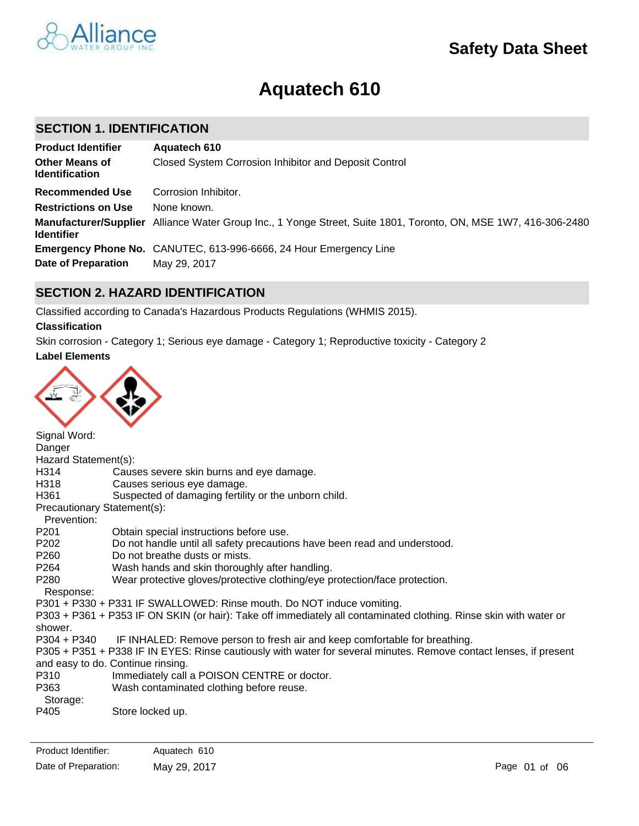

# **Aquatech 610**

## **SECTION 1. IDENTIFICATION**

| <b>Product Identifier</b>                      | Aquatech 610                                                                                                    |
|------------------------------------------------|-----------------------------------------------------------------------------------------------------------------|
| <b>Other Means of</b><br><b>Identification</b> | Closed System Corrosion Inhibitor and Deposit Control                                                           |
| <b>Recommended Use</b>                         | Corrosion Inhibitor.                                                                                            |
| <b>Restrictions on Use</b>                     | None known.                                                                                                     |
| <b>Identifier</b>                              | Manufacturer/Supplier Alliance Water Group Inc., 1 Yonge Street, Suite 1801, Toronto, ON, MSE 1W7, 416-306-2480 |
|                                                | <b>Emergency Phone No.</b> CANUTEC, 613-996-6666, 24 Hour Emergency Line                                        |
| <b>Date of Preparation</b>                     | May 29, 2017                                                                                                    |

# **SECTION 2. HAZARD IDENTIFICATION**

Classified according to Canada's Hazardous Products Regulations (WHMIS 2015).

## **Classification**

Skin corrosion - Category 1; Serious eye damage - Category 1; Reproductive toxicity - Category 2

## **Label Elements**



Signal Word: Danger Hazard Statement(s): H314 Causes severe skin burns and eye damage. H318 Causes serious eye damage. H361 Suspected of damaging fertility or the unborn child. Precautionary Statement(s): Prevention: P201 Obtain special instructions before use. P202 Do not handle until all safety precautions have been read and understood. P260 Do not breathe dusts or mists. P264 Wash hands and skin thoroughly after handling. P280 Wear protective gloves/protective clothing/eye protection/face protection. Response: P301 + P330 + P331 IF SWALLOWED: Rinse mouth. Do NOT induce vomiting. P303 + P361 + P353 IF ON SKIN (or hair): Take off immediately all contaminated clothing. Rinse skin with water or shower. P304 + P340 IF INHALED: Remove person to fresh air and keep comfortable for breathing. P305 + P351 + P338 IF IN EYES: Rinse cautiously with water for several minutes. Remove contact lenses, if present and easy to do. Continue rinsing. P310 Immediately call a POISON CENTRE or doctor. P363 Wash contaminated clothing before reuse. Storage: P405 Store locked up.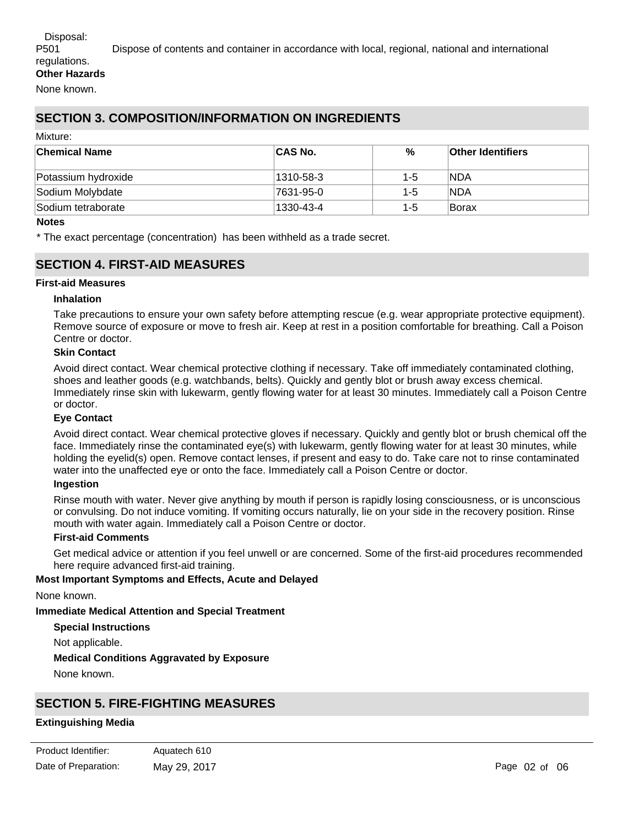# P501 Dispose of contents and container in accordance with local, regional, national and international

# **SECTION 3. COMPOSITION/INFORMATION ON INGREDIENTS**

#### Mixture:

| ∣Chemical Name      | <b>CAS No.</b> | %   | <b>Other Identifiers</b> |
|---------------------|----------------|-----|--------------------------|
| Potassium hydroxide | 1310-58-3      | 1-5 | <b>NDA</b>               |
| Sodium Molybdate    | 7631-95-0      | 1-5 | <b>NDA</b>               |
| Sodium tetraborate  | 1330-43-4      | 1-5 | lBorax                   |

#### **Notes**

\* The exact percentage (concentration) has been withheld as a trade secret.

## **SECTION 4. FIRST-AID MEASURES**

## **First-aid Measures**

## **Inhalation**

Take precautions to ensure your own safety before attempting rescue (e.g. wear appropriate protective equipment). Remove source of exposure or move to fresh air. Keep at rest in a position comfortable for breathing. Call a Poison Centre or doctor.

## **Skin Contact**

Avoid direct contact. Wear chemical protective clothing if necessary. Take off immediately contaminated clothing, shoes and leather goods (e.g. watchbands, belts). Quickly and gently blot or brush away excess chemical. Immediately rinse skin with lukewarm, gently flowing water for at least 30 minutes. Immediately call a Poison Centre or doctor.

## **Eye Contact**

Avoid direct contact. Wear chemical protective gloves if necessary. Quickly and gently blot or brush chemical off the face. Immediately rinse the contaminated eye(s) with lukewarm, gently flowing water for at least 30 minutes, while holding the eyelid(s) open. Remove contact lenses, if present and easy to do. Take care not to rinse contaminated water into the unaffected eye or onto the face. Immediately call a Poison Centre or doctor.

#### **Ingestion**

Rinse mouth with water. Never give anything by mouth if person is rapidly losing consciousness, or is unconscious or convulsing. Do not induce vomiting. If vomiting occurs naturally, lie on your side in the recovery position. Rinse mouth with water again. Immediately call a Poison Centre or doctor.

## **First-aid Comments**

Get medical advice or attention if you feel unwell or are concerned. Some of the first-aid procedures recommended here require advanced first-aid training.

## **Most Important Symptoms and Effects, Acute and Delayed**

None known.

**Immediate Medical Attention and Special Treatment**

#### **Special Instructions**

Not applicable.

## **Medical Conditions Aggravated by Exposure**

None known.

# **SECTION 5. FIRE-FIGHTING MEASURES**

## **Extinguishing Media**

| Product Identifier:  | Aquatech 610 |
|----------------------|--------------|
| Date of Preparation: | May 29, 2017 |

**Suitable Extinguishing Media**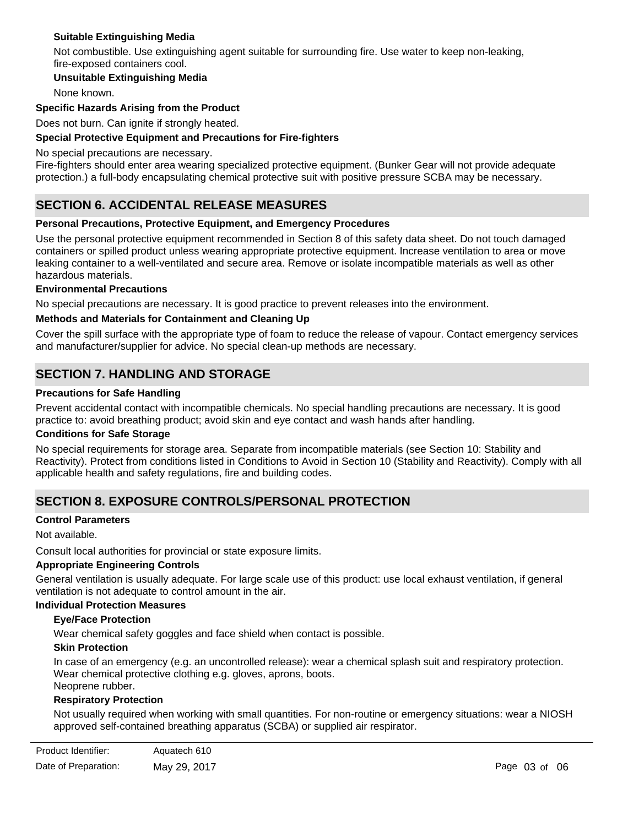## **Suitable Extinguishing Media**

Not combustible. Use extinguishing agent suitable for surrounding fire. Use water to keep non-leaking, fire-exposed containers cool.

## **Unsuitable Extinguishing Media**

None known.

## **Specific Hazards Arising from the Product**

Does not burn. Can ignite if strongly heated.

## **Special Protective Equipment and Precautions for Fire-fighters**

No special precautions are necessary.

Fire-fighters should enter area wearing specialized protective equipment. (Bunker Gear will not provide adequate protection.) a full-body encapsulating chemical protective suit with positive pressure SCBA may be necessary.

# **SECTION 6. ACCIDENTAL RELEASE MEASURES**

## **Personal Precautions, Protective Equipment, and Emergency Procedures**

Use the personal protective equipment recommended in Section 8 of this safety data sheet. Do not touch damaged containers or spilled product unless wearing appropriate protective equipment. Increase ventilation to area or move leaking container to a well-ventilated and secure area. Remove or isolate incompatible materials as well as other hazardous materials.

#### **Environmental Precautions**

No special precautions are necessary. It is good practice to prevent releases into the environment.

#### **Methods and Materials for Containment and Cleaning Up**

Cover the spill surface with the appropriate type of foam to reduce the release of vapour. Contact emergency services and manufacturer/supplier for advice. No special clean-up methods are necessary.

## **SECTION 7. HANDLING AND STORAGE**

#### **Precautions for Safe Handling**

Prevent accidental contact with incompatible chemicals. No special handling precautions are necessary. It is good practice to: avoid breathing product; avoid skin and eye contact and wash hands after handling.

#### **Conditions for Safe Storage**

No special requirements for storage area. Separate from incompatible materials (see Section 10: Stability and Reactivity). Protect from conditions listed in Conditions to Avoid in Section 10 (Stability and Reactivity). Comply with all applicable health and safety regulations, fire and building codes.

## **SECTION 8. EXPOSURE CONTROLS/PERSONAL PROTECTION**

## **Control Parameters**

Not available.

Consult local authorities for provincial or state exposure limits.

## **Appropriate Engineering Controls**

General ventilation is usually adequate. For large scale use of this product: use local exhaust ventilation, if general ventilation is not adequate to control amount in the air.

#### **Individual Protection Measures**

#### **Eye/Face Protection**

Wear chemical safety goggles and face shield when contact is possible.

## **Skin Protection**

In case of an emergency (e.g. an uncontrolled release): wear a chemical splash suit and respiratory protection. Wear chemical protective clothing e.g. gloves, aprons, boots. Neoprene rubber.

# **Respiratory Protection**

Not usually required when working with small quantities. For non-routine or emergency situations: wear a NIOSH approved self-contained breathing apparatus (SCBA) or supplied air respirator.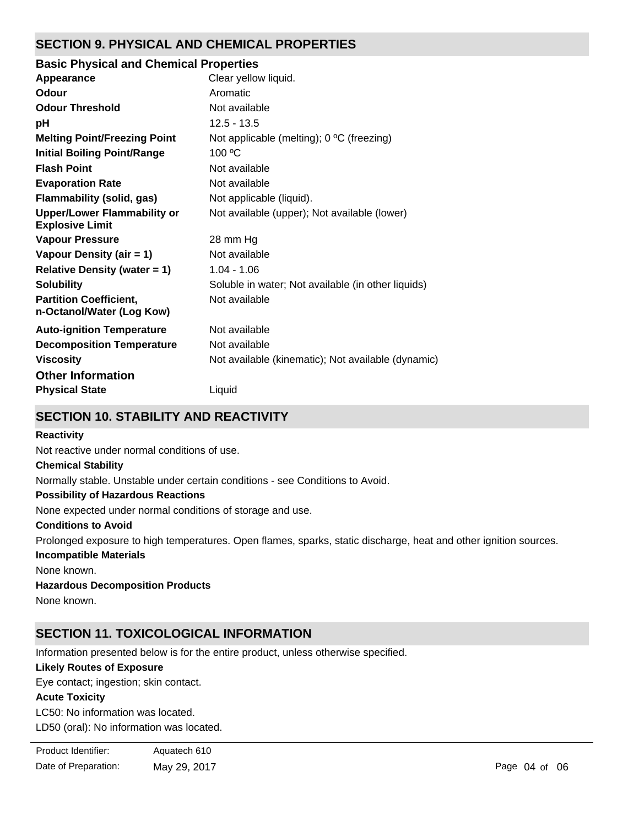# **SECTION 9. PHYSICAL AND CHEMICAL PROPERTIES**

## **Basic Physical and Chemical Properties**

| Appearance                                                   | Clear yellow liquid.                               |
|--------------------------------------------------------------|----------------------------------------------------|
| Odour                                                        | Aromatic                                           |
| <b>Odour Threshold</b>                                       | Not available                                      |
| рH                                                           | $12.5 - 13.5$                                      |
| <b>Melting Point/Freezing Point</b>                          | Not applicable (melting); 0 °C (freezing)          |
| <b>Initial Boiling Point/Range</b>                           | 100 °C                                             |
| <b>Flash Point</b>                                           | Not available                                      |
| <b>Evaporation Rate</b>                                      | Not available                                      |
| Flammability (solid, gas)                                    | Not applicable (liquid).                           |
| <b>Upper/Lower Flammability or</b><br><b>Explosive Limit</b> | Not available (upper); Not available (lower)       |
| <b>Vapour Pressure</b>                                       | 28 mm Hg                                           |
| Vapour Density (air = 1)                                     | Not available                                      |
| <b>Relative Density (water = 1)</b>                          | $1.04 - 1.06$                                      |
| <b>Solubility</b>                                            | Soluble in water; Not available (in other liquids) |
| <b>Partition Coefficient,</b><br>n-Octanol/Water (Log Kow)   | Not available                                      |
| <b>Auto-ignition Temperature</b>                             | Not available                                      |
| <b>Decomposition Temperature</b>                             | Not available                                      |
| <b>Viscosity</b>                                             | Not available (kinematic); Not available (dynamic) |
| <b>Other Information</b><br><b>Physical State</b>            | Liquid                                             |
|                                                              |                                                    |

# **SECTION 10. STABILITY AND REACTIVITY**

## **Reactivity**

Not reactive under normal conditions of use.

## **Chemical Stability**

Normally stable. Unstable under certain conditions - see Conditions to Avoid.

## **Possibility of Hazardous Reactions**

None expected under normal conditions of storage and use.

## **Conditions to Avoid**

Prolonged exposure to high temperatures. Open flames, sparks, static discharge, heat and other ignition sources.

## **Incompatible Materials**

None known.

## **Hazardous Decomposition Products**

None known.

# **SECTION 11. TOXICOLOGICAL INFORMATION**

Information presented below is for the entire product, unless otherwise specified.

## **Likely Routes of Exposure**

Eye contact; ingestion; skin contact.

## **Acute Toxicity**

LC50: No information was located. LD50 (oral): No information was located.

| Product Identifier:  | Aquatech 610 |
|----------------------|--------------|
| Date of Preparation: | May 29, 2017 |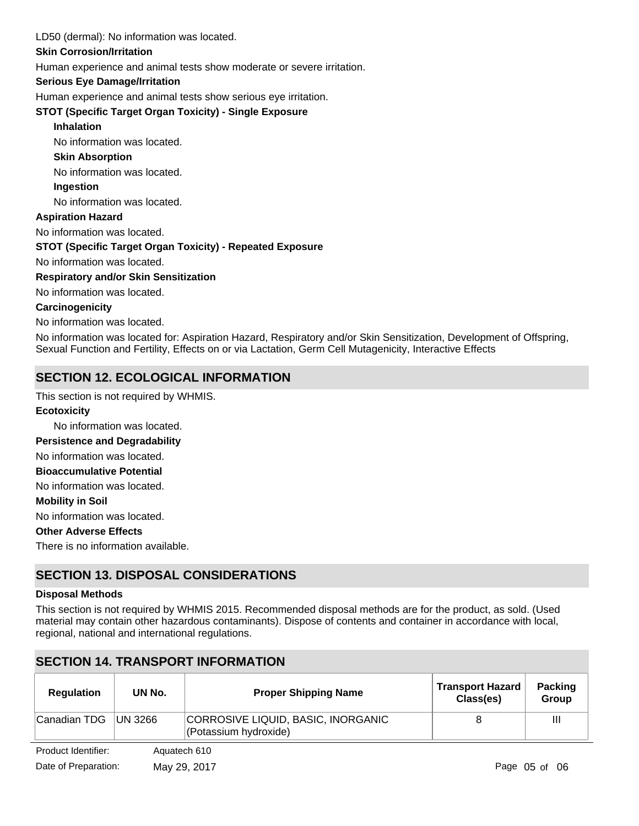## LD50 (dermal): No information was located.

## **Skin Corrosion/Irritation**

Human experience and animal tests show moderate or severe irritation.

## **Serious Eye Damage/Irritation**

Human experience and animal tests show serious eye irritation.

## **STOT (Specific Target Organ Toxicity) - Single Exposure**

## **Inhalation**

No information was located.

## **Skin Absorption**

No information was located.

**Ingestion**

No information was located.

## **Aspiration Hazard**

No information was located.

## **STOT (Specific Target Organ Toxicity) - Repeated Exposure**

No information was located.

## **Respiratory and/or Skin Sensitization**

No information was located.

## **Carcinogenicity**

No information was located.

No information was located for: Aspiration Hazard, Respiratory and/or Skin Sensitization, Development of Offspring, Sexual Function and Fertility, Effects on or via Lactation, Germ Cell Mutagenicity, Interactive Effects

# **SECTION 12. ECOLOGICAL INFORMATION**

This section is not required by WHMIS.

## **Ecotoxicity**

No information was located.

## **Persistence and Degradability**

No information was located.

**Bioaccumulative Potential**

No information was located.

#### **Mobility in Soil**

No information was located.

## **Other Adverse Effects**

There is no information available.

# **SECTION 13. DISPOSAL CONSIDERATIONS**

## **Disposal Methods**

This section is not required by WHMIS 2015. Recommended disposal methods are for the product, as sold. (Used material may contain other hazardous contaminants). Dispose of contents and container in accordance with local, regional, national and international regulations.

# **SECTION 14. TRANSPORT INFORMATION**

| <b>Regulation</b> | UN No.          | <b>Proper Shipping Name</b>                                 | <b>Transport Hazard</b><br>Class(es) | <b>Packing</b><br><b>Group</b> |
|-------------------|-----------------|-------------------------------------------------------------|--------------------------------------|--------------------------------|
| Canadian TDG      | <b>IUN 3266</b> | CORROSIVE LIQUID, BASIC, INORGANIC<br>(Potassium hydroxide) |                                      | Ш                              |

Product Identifier: Aquatech 610